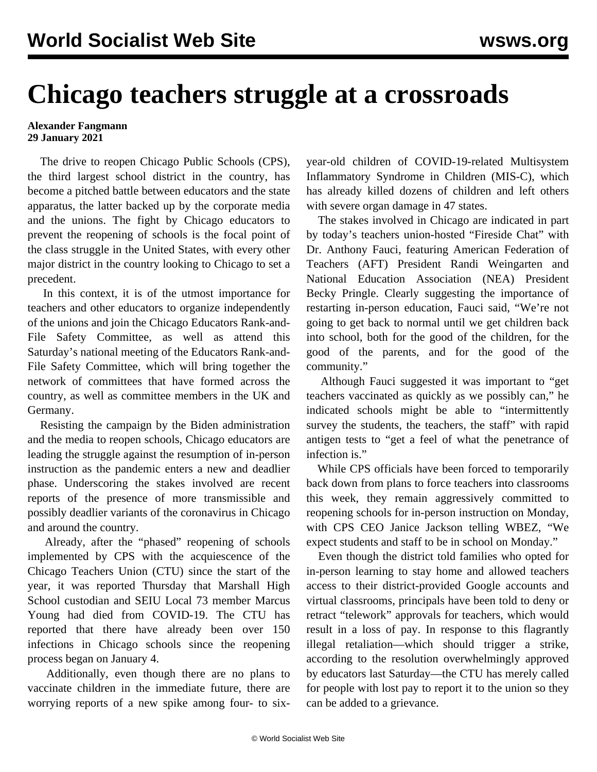## **Chicago teachers struggle at a crossroads**

## **Alexander Fangmann 29 January 2021**

 The drive to reopen Chicago Public Schools (CPS), the third largest school district in the country, has become a pitched battle between educators and the state apparatus, the latter backed up by the corporate media and the unions. The fight by Chicago educators to prevent the reopening of schools is the focal point of the class struggle in the United States, with every other major district in the country looking to Chicago to set a precedent.

 In this context, it is of the utmost importance for teachers and other educators to organize independently of the unions and [join the Chicago Educators Rank-and-](/edsafety)[File Safety Committee,](/edsafety) as well as [attend this](https://register.gotowebinar.com/register/7265189519408431632) [Saturday's national meeting](https://register.gotowebinar.com/register/7265189519408431632) of the Educators Rank-and-File Safety Committee, which will bring together the network of committees that have formed across the country, as well as committee members in the UK and Germany.

 Resisting the campaign by the Biden administration and the media to reopen schools, Chicago educators are leading the struggle against the resumption of in-person instruction as the pandemic enters a new and deadlier phase. Underscoring the stakes involved are recent reports of the presence of more transmissible and possibly deadlier variants of the coronavirus in Chicago and around the country.

 Already, after the "phased" reopening of schools implemented by CPS with the acquiescence of the Chicago Teachers Union (CTU) since the start of the year, it was reported Thursday that Marshall High School custodian and SEIU Local 73 member Marcus Young had died from COVID-19. The CTU has reported that there have already been over 150 infections in Chicago schools since the reopening process began on January 4.

 Additionally, even though there are no plans to vaccinate children in the immediate future, there are worrying reports of a new spike among four- to sixyear-old children of COVID-19-related Multisystem Inflammatory Syndrome in Children (MIS-C), which has already killed dozens of children and left others with severe organ damage in 47 states.

 The stakes involved in Chicago are indicated in part by today's teachers union-hosted "[Fireside Chat"](https://www.youtube.com/watch?v=5XdeMD7YueY) with Dr. Anthony Fauci, featuring American Federation of Teachers (AFT) President Randi Weingarten and National Education Association (NEA) President Becky Pringle. Clearly suggesting the importance of restarting in-person education, Fauci said, "We're not going to get back to normal until we get children back into school, both for the good of the children, for the good of the parents, and for the good of the community."

 Although Fauci suggested it was important to "get teachers vaccinated as quickly as we possibly can," he indicated schools might be able to "intermittently survey the students, the teachers, the staff" with rapid antigen tests to "get a feel of what the penetrance of infection is."

 While CPS officials have been forced to temporarily back down from plans to force teachers into classrooms this week, they remain aggressively committed to reopening schools for in-person instruction on Monday, with CPS CEO Janice Jackson telling WBEZ, "We expect students and staff to be in school on Monday."

 Even though the district told families who opted for in-person learning to stay home and allowed teachers access to their district-provided Google accounts and virtual classrooms, principals have been told to deny or retract "telework" approvals for teachers, which would result in a loss of pay. In response to this flagrantly illegal retaliation—which should trigger a strike, according to the resolution overwhelmingly approved by educators last Saturday—the CTU has merely called for people with lost pay to report it to the union so they can be added to a grievance.